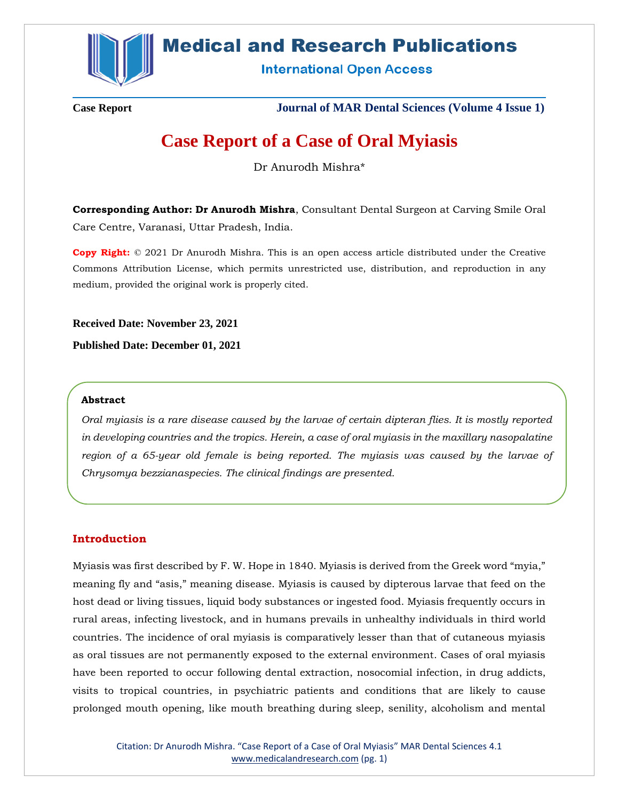

# **Medical and Research Publications**

**International Open Access** 

**Case Report Journal of MAR Dental Sciences (Volume 4 Issue 1)**

# **Case Report of a Case of Oral Myiasis**

Dr Anurodh Mishra\*

**Corresponding Author: Dr Anurodh Mishra**, Consultant Dental Surgeon at Carving Smile Oral Care Centre, Varanasi, Uttar Pradesh, India.

**Copy Right:** © 2021 Dr Anurodh Mishra. This is an open access article distributed under the Creative Commons Attribution License, which permits unrestricted use, distribution, and reproduction in any medium, provided the original work is properly cited.

**Received Date: November 23, 2021**

**Published Date: December 01, 2021**

## **Abstract**

*Oral myiasis is a rare disease caused by the larvae of certain dipteran flies. It is mostly reported in developing countries and the tropics. Herein, a case of oral myiasis in the maxillary nasopalatine region of a 65-year old female is being reported. The myiasis was caused by the larvae of Chrysomya bezzianaspecies. The clinical findings are presented.*

# **Introduction**

Myiasis was first described by F. W. Hope in 1840. Myiasis is derived from the Greek word "myia," meaning fly and "asis," meaning disease. Myiasis is caused by dipterous larvae that feed on the host dead or living tissues, liquid body substances or ingested food. Myiasis frequently occurs in rural areas, infecting livestock, and in humans prevails in unhealthy individuals in third world countries. The incidence of oral myiasis is comparatively lesser than that of cutaneous myiasis as oral tissues are not permanently exposed to the external environment. Cases of oral myiasis have been reported to occur following dental extraction, nosocomial infection, in drug addicts, visits to tropical countries, in psychiatric patients and conditions that are likely to cause prolonged mouth opening, like mouth breathing during sleep, senility, alcoholism and mental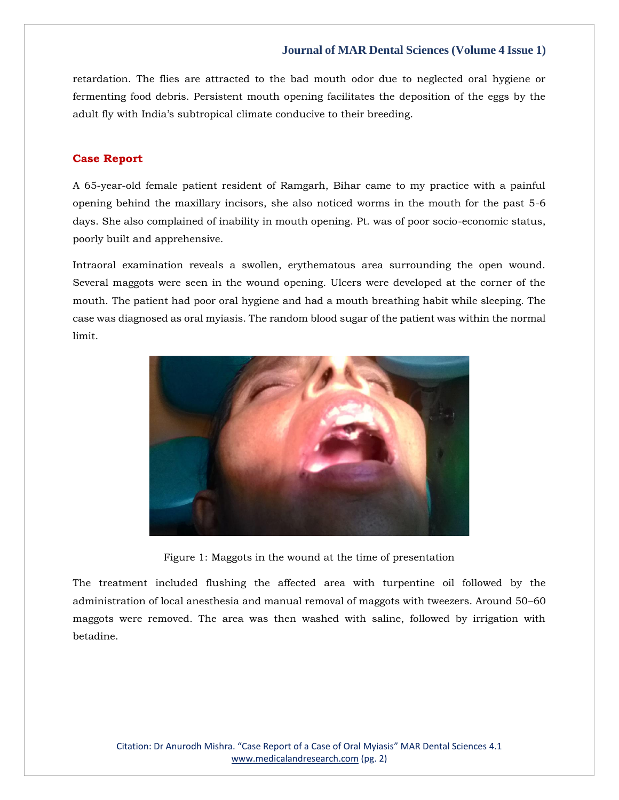retardation. The flies are attracted to the bad mouth odor due to neglected oral hygiene or fermenting food debris. Persistent mouth opening facilitates the deposition of the eggs by the adult fly with India's subtropical climate conducive to their breeding.

### **Case Report**

A 65-year-old female patient resident of Ramgarh, Bihar came to my practice with a painful opening behind the maxillary incisors, she also noticed worms in the mouth for the past 5-6 days. She also complained of inability in mouth opening. Pt. was of poor socio-economic status, poorly built and apprehensive.

Intraoral examination reveals a swollen, erythematous area surrounding the open wound. Several maggots were seen in the wound opening. Ulcers were developed at the corner of the mouth. The patient had poor oral hygiene and had a mouth breathing habit while sleeping. The case was diagnosed as oral myiasis. The random blood sugar of the patient was within the normal limit.



Figure 1: Maggots in the wound at the time of presentation

The treatment included flushing the affected area with turpentine oil followed by the administration of local anesthesia and manual removal of maggots with tweezers. Around 50–60 maggots were removed. The area was then washed with saline, followed by irrigation with betadine.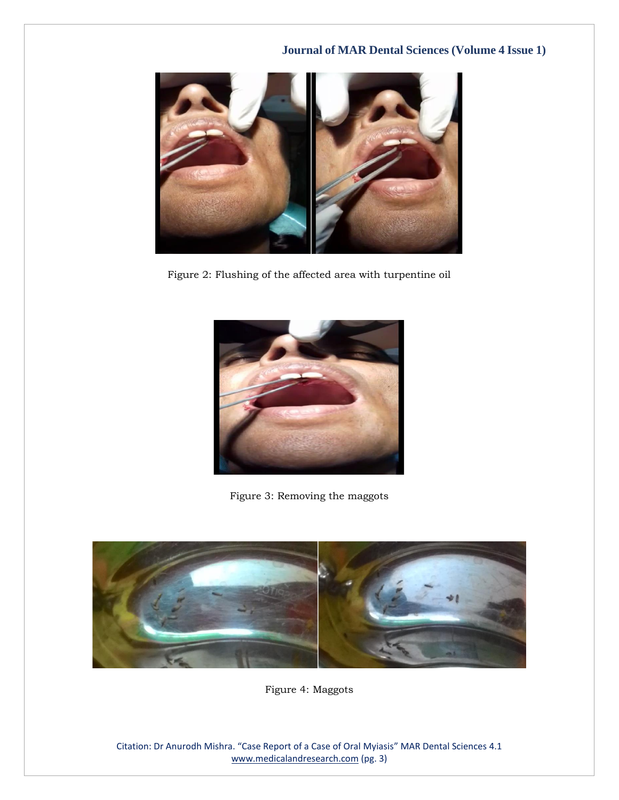

Figure 2: Flushing of the affected area with turpentine oil



Figure 3: Removing the maggots



Figure 4: Maggots

Citation: Dr Anurodh Mishra. "Case Report of a Case of Oral Myiasis" MAR Dental Sciences 4.1 [www.medicalandresearch.com](http://www.medicalandresearch.com/) (pg. 3)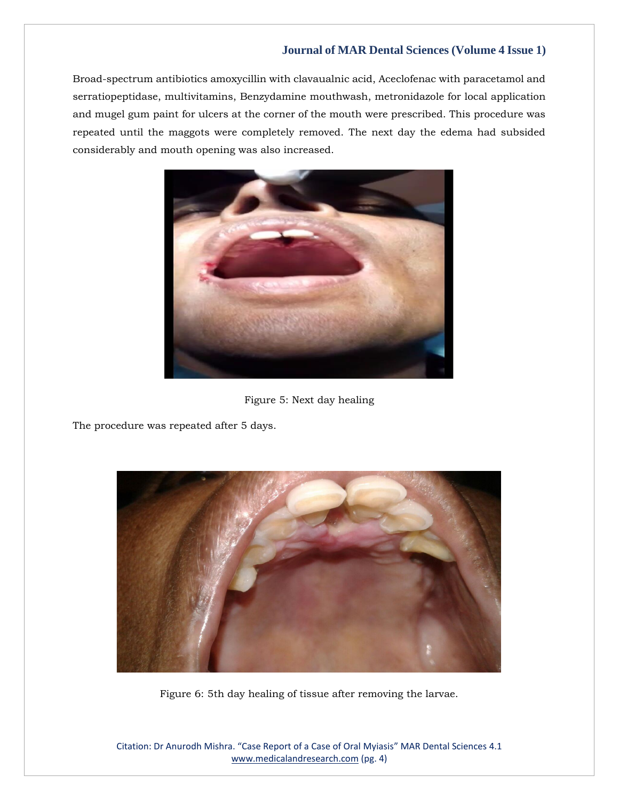Broad-spectrum antibiotics amoxycillin with clavaualnic acid, Aceclofenac with paracetamol and serratiopeptidase, multivitamins, Benzydamine mouthwash, metronidazole for local application and mugel gum paint for ulcers at the corner of the mouth were prescribed. This procedure was repeated until the maggots were completely removed. The next day the edema had subsided considerably and mouth opening was also increased.



Figure 5: Next day healing

The procedure was repeated after 5 days.



Figure 6: 5th day healing of tissue after removing the larvae.

Citation: Dr Anurodh Mishra. "Case Report of a Case of Oral Myiasis" MAR Dental Sciences 4.1 [www.medicalandresearch.com](http://www.medicalandresearch.com/) (pg. 4)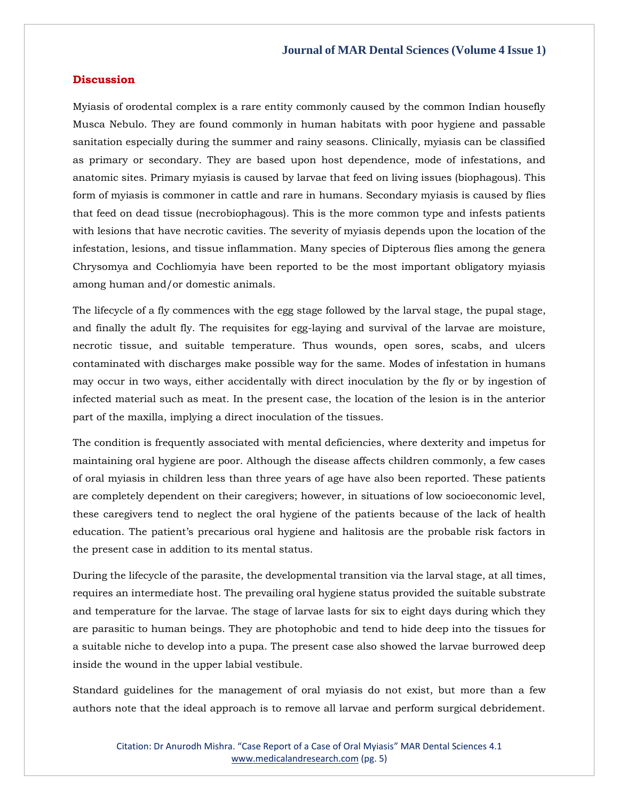#### **Discussion**

Myiasis of orodental complex is a rare entity commonly caused by the common Indian housefly Musca Nebulo. They are found commonly in human habitats with poor hygiene and passable sanitation especially during the summer and rainy seasons. Clinically, myiasis can be classified as primary or secondary. They are based upon host dependence, mode of infestations, and anatomic sites. Primary myiasis is caused by larvae that feed on living issues (biophagous). This form of myiasis is commoner in cattle and rare in humans. Secondary myiasis is caused by flies that feed on dead tissue (necrobiophagous). This is the more common type and infests patients with lesions that have necrotic cavities. The severity of myiasis depends upon the location of the infestation, lesions, and tissue inflammation. Many species of Dipterous flies among the genera Chrysomya and Cochliomyia have been reported to be the most important obligatory myiasis among human and/or domestic animals.

The lifecycle of a fly commences with the egg stage followed by the larval stage, the pupal stage, and finally the adult fly. The requisites for egg-laying and survival of the larvae are moisture, necrotic tissue, and suitable temperature. Thus wounds, open sores, scabs, and ulcers contaminated with discharges make possible way for the same. Modes of infestation in humans may occur in two ways, either accidentally with direct inoculation by the fly or by ingestion of infected material such as meat. In the present case, the location of the lesion is in the anterior part of the maxilla, implying a direct inoculation of the tissues.

The condition is frequently associated with mental deficiencies, where dexterity and impetus for maintaining oral hygiene are poor. Although the disease affects children commonly, a few cases of oral myiasis in children less than three years of age have also been reported. These patients are completely dependent on their caregivers; however, in situations of low socioeconomic level, these caregivers tend to neglect the oral hygiene of the patients because of the lack of health education. The patient's precarious oral hygiene and halitosis are the probable risk factors in the present case in addition to its mental status.

During the lifecycle of the parasite, the developmental transition via the larval stage, at all times, requires an intermediate host. The prevailing oral hygiene status provided the suitable substrate and temperature for the larvae. The stage of larvae lasts for six to eight days during which they are parasitic to human beings. They are photophobic and tend to hide deep into the tissues for a suitable niche to develop into a pupa. The present case also showed the larvae burrowed deep inside the wound in the upper labial vestibule.

Standard guidelines for the management of oral myiasis do not exist, but more than a few authors note that the ideal approach is to remove all larvae and perform surgical debridement.